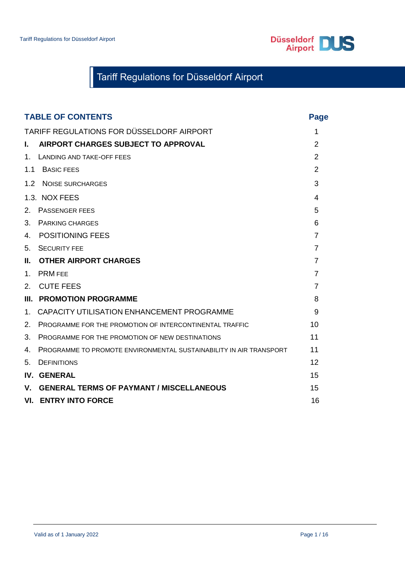

# Tariff Regulations for Düsseldorf Airport

<span id="page-0-0"></span>

| <b>TABLE OF CONTENTS</b>                                                 | <b>Page</b>    |
|--------------------------------------------------------------------------|----------------|
| TARIFF REGULATIONS FOR DÜSSELDORF AIRPORT                                | 1              |
| <b>AIRPORT CHARGES SUBJECT TO APPROVAL</b><br>L.                         | $\overline{2}$ |
| 1.<br><b>LANDING AND TAKE-OFF FEES</b>                                   | $\overline{2}$ |
| 1.1<br><b>BASIC FEES</b>                                                 | $\overline{2}$ |
| 1.2<br>NOISE SURCHARGES                                                  | 3              |
| 1.3. NOX FEES                                                            | 4              |
| 2.<br><b>PASSENGER FEES</b>                                              | 5              |
| 3.<br><b>PARKING CHARGES</b>                                             | 6              |
| <b>POSITIONING FEES</b><br>4.                                            | $\overline{7}$ |
| <b>SECURITY FEE</b><br>5.                                                | $\overline{7}$ |
| <b>OTHER AIRPORT CHARGES</b><br>Ш.                                       | $\overline{7}$ |
| <b>PRM FEE</b><br>$1_{-}$                                                | $\overline{7}$ |
| <b>CUTE FEES</b><br>$\mathcal{P}$                                        | $\overline{7}$ |
| III. PROMOTION PROGRAMME                                                 | 8              |
| CAPACITY UTILISATION ENHANCEMENT PROGRAMME<br>$1_{-}$                    | 9              |
| 2.<br><b>PROGRAMME FOR THE PROMOTION OF INTERCONTINENTAL TRAFFIC</b>     | 10             |
| 3.<br>PROGRAMME FOR THE PROMOTION OF NEW DESTINATIONS                    | 11             |
| 4.<br>PROGRAMME TO PROMOTE ENVIRONMENTAL SUSTAINABILITY IN AIR TRANSPORT | 11             |
| 5.<br><b>DEFINITIONS</b>                                                 | 12             |
| <b>IV. GENERAL</b>                                                       | 15             |
| <b>GENERAL TERMS OF PAYMANT / MISCELLANEOUS</b><br>V.                    | 15             |
| <b>VI. ENTRY INTO FORCE</b>                                              | 16             |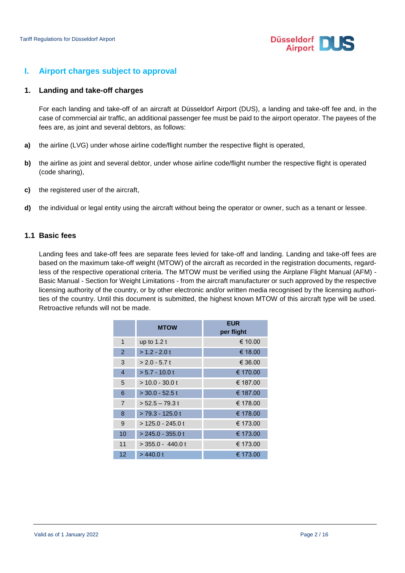

# <span id="page-1-0"></span>**I. Airport charges subject to approval**

### <span id="page-1-1"></span>**1. Landing and take-off charges**

For each landing and take-off of an aircraft at Düsseldorf Airport (DUS), a landing and take-off fee and, in the case of commercial air traffic, an additional passenger fee must be paid to the airport operator. The payees of the fees are, as joint and several debtors, as follows:

- **a)** the airline (LVG) under whose airline code/flight number the respective flight is operated,
- **b)** the airline as joint and several debtor, under whose airline code/flight number the respective flight is operated (code sharing),
- **c)** the registered user of the aircraft,
- **d)** the individual or legal entity using the aircraft without being the operator or owner, such as a tenant or lessee.

## <span id="page-1-2"></span>**1.1 Basic fees**

Landing fees and take-off fees are separate fees levied for take-off and landing. Landing and take-off fees are based on the maximum take-off weight (MTOW) of the aircraft as recorded in the registration documents, regardless of the respective operational criteria. The MTOW must be verified using the Airplane Flight Manual (AFM) - Basic Manual - Section for Weight Limitations - from the aircraft manufacturer or such approved by the respective licensing authority of the country, or by other electronic and/or written media recognised by the licensing authorities of the country. Until this document is submitted, the highest known MTOW of this aircraft type will be used. Retroactive refunds will not be made.

|                | <b>MTOW</b>         | <b>EUR</b><br>per flight |
|----------------|---------------------|--------------------------|
| 1              | up to $1.2 t$       | € 10.00                  |
| $\overline{2}$ | $>1.2 - 2.0t$       | € 18.00                  |
| 3              | $> 2.0 - 5.7$ t     | € 36.00                  |
| 4              | $> 5.7 - 10.0$ t    | € 170.00                 |
| 5              | $>$ 10.0 - 30.0 t   | € 187.00                 |
| 6              | $>$ 30.0 - 52.5 t   | € 187.00                 |
| $\overline{7}$ | $> 52.5 - 79.3$ t   | € 178.00                 |
| 8              | $> 79.3 - 125.0 t$  | € 178.00                 |
| 9              | $>$ 125.0 - 245.0 t | € 173.00                 |
| 10             | $> 245.0 - 355.0$ t | € 173.00                 |
| 11             | $>$ 355.0 - 440.0 t | € 173.00                 |
| 12             | $>$ 440.0 t         | € 173.00                 |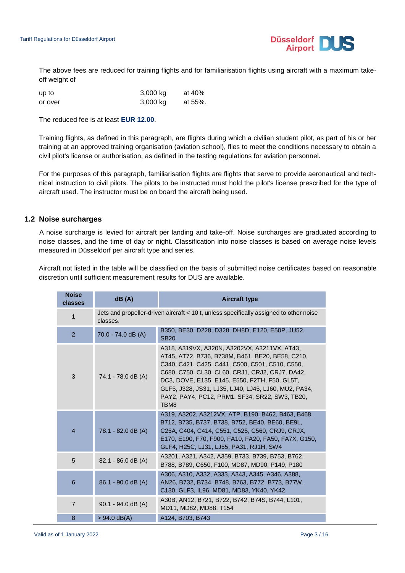

The above fees are reduced for training flights and for familiarisation flights using aircraft with a maximum takeoff weight of

| up to   | $3,000$ kg | at 40%  |
|---------|------------|---------|
| or over | $3,000$ kg | at 55%. |

The reduced fee is at least **EUR 12.00**.

Training flights, as defined in this paragraph, are flights during which a civilian student pilot, as part of his or her training at an approved training organisation (aviation school), flies to meet the conditions necessary to obtain a civil pilot's license or authorisation, as defined in the testing regulations for aviation personnel.

For the purposes of this paragraph, familiarisation flights are flights that serve to provide aeronautical and technical instruction to civil pilots. The pilots to be instructed must hold the pilot's license prescribed for the type of aircraft used. The instructor must be on board the aircraft being used.

### <span id="page-2-0"></span>**1.2 Noise surcharges**

A noise surcharge is levied for aircraft per landing and take-off. Noise surcharges are graduated according to noise classes, and the time of day or night. Classification into noise classes is based on average noise levels measured in Düsseldorf per aircraft type and series.

Aircraft not listed in the table will be classified on the basis of submitted noise certificates based on reasonable discretion until sufficient measurement results for DUS are available.

| <b>Noise</b><br>classes | dB(A)                | <b>Aircraft type</b>                                                                                                                                                                                                                                                                                                                                                      |
|-------------------------|----------------------|---------------------------------------------------------------------------------------------------------------------------------------------------------------------------------------------------------------------------------------------------------------------------------------------------------------------------------------------------------------------------|
| 1                       | classes.             | Jets and propeller-driven aircraft < 10 t, unless specifically assigned to other noise                                                                                                                                                                                                                                                                                    |
| $\overline{2}$          | 70.0 - 74.0 dB (A)   | B350, BE30, D228, D328, DH8D, E120, E50P, JU52,<br><b>SB20</b>                                                                                                                                                                                                                                                                                                            |
| 3                       | 74.1 - 78.0 dB (A)   | A318, A319VX, A320N, A3202VX, A3211VX, AT43,<br>AT45, AT72, B736, B738M, B461, BE20, BE58, C210,<br>C340, C421, C425, C441, C500, C501, C510, C550,<br>C680, C750, CL30, CL60, CRJ1, CRJ2, CRJ7, DA42,<br>DC3, DOVE, E135, E145, E550, F2TH, F50, GL5T,<br>GLF5, J328, JS31, LJ35, LJ40, LJ45, LJ60, MU2, PA34,<br>PAY2, PAY4, PC12, PRM1, SF34, SR22, SW3, TB20,<br>TBM8 |
| $\overline{4}$          | 78.1 - 82.0 dB (A)   | A319, A3202, A3212VX, ATP, B190, B462, B463, B468,<br>B712, B735, B737, B738, B752, BE40, BE60, BE9L,<br>C25A, C404, C414, C551, C525, C560, CRJ9, CRJX,<br>E170, E190, F70, F900, FA10, FA20, FA50, FA7X, G150,<br>GLF4, H25C, LJ31, LJ55, PA31, RJ1H, SW4                                                                                                               |
| 5                       | $82.1 - 86.0$ dB (A) | A3201, A321, A342, A359, B733, B739, B753, B762,<br>B788, B789, C650, F100, MD87, MD90, P149, P180                                                                                                                                                                                                                                                                        |
| 6                       | $86.1 - 90.0$ dB (A) | A306, A310, A332, A333, A343, A345, A346, A388,<br>AN26, B732, B734, B748, B763, B772, B773, B77W,<br>C130, GLF3, IL96, MD81, MD83, YK40, YK42                                                                                                                                                                                                                            |
| $\overline{7}$          | 90.1 - 94.0 dB (A)   | A30B, AN12, B721, B722, B742, B74S, B744, L101,<br>MD11, MD82, MD88, T154                                                                                                                                                                                                                                                                                                 |
| 8                       | $> 94.0$ dB(A)       | A124, B703, B743                                                                                                                                                                                                                                                                                                                                                          |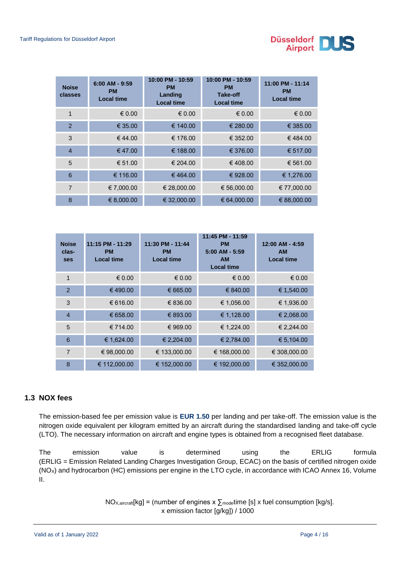

| <b>Noise</b><br>classes | $6:00$ AM - 9:59<br><b>PM</b><br><b>Local time</b> | 10:00 PM - 10:59<br><b>PM</b><br>Landing<br><b>Local time</b> | 10:00 PM - 10:59<br><b>PM</b><br><b>Take-off</b><br><b>Local time</b> | 11:00 PM - 11:14<br><b>PM</b><br><b>Local time</b> |
|-------------------------|----------------------------------------------------|---------------------------------------------------------------|-----------------------------------------------------------------------|----------------------------------------------------|
| 1                       | $\epsilon$ 0.00                                    | $\epsilon$ 0.00                                               | € 0.00                                                                | $\epsilon$ 0.00                                    |
| $\overline{2}$          | € 35.00                                            | € 140.00                                                      | € 280.00                                                              | € 385.00                                           |
| 3                       | € 44.00                                            | € 176.00                                                      | € 352.00                                                              | €484.00                                            |
| $\overline{4}$          | €47.00                                             | € 188.00                                                      | € 376.00                                                              | € 517.00                                           |
| 5                       | € 51.00                                            | € 204.00                                                      | €408.00                                                               | € 561.00                                           |
| 6                       | € 116.00                                           | €464.00                                                       | € 928.00                                                              | € 1,276.00                                         |
| $\overline{7}$          | € 7,000.00                                         | € 28,000.00                                                   | € 56,000.00                                                           | € 77,000.00                                        |
| 8                       | € 8,000.00                                         | € 32,000.00                                                   | € 64,000.00                                                           | € 88,000.00                                        |

| <b>Noise</b><br>clas-<br>ses | 11:15 PM - 11:29<br><b>PM</b><br><b>Local time</b> | 11:30 PM - 11:44<br><b>PM</b><br><b>Local time</b> | 11:45 PM - 11:59<br><b>PM</b><br>$5:00$ AM - $5:59$<br><b>AM</b><br><b>Local time</b> | $12:00$ AM - 4:59<br><b>AM</b><br><b>Local time</b> |
|------------------------------|----------------------------------------------------|----------------------------------------------------|---------------------------------------------------------------------------------------|-----------------------------------------------------|
| 1                            | $\epsilon$ 0.00                                    | $\epsilon$ 0.00                                    | € 0.00                                                                                | € 0.00                                              |
| 2                            | €490.00                                            | € 665.00                                           | € 840.00                                                                              | € 1,540.00                                          |
| 3                            | € 616.00                                           | € 836.00                                           | € 1,056.00                                                                            | € 1,936.00                                          |
| $\overline{4}$               | € 658.00                                           | € 893.00                                           | € 1,128.00                                                                            | € 2,068.00                                          |
| 5                            | € 714.00                                           | € 969.00                                           | € 1,224.00                                                                            | € 2,244.00                                          |
| 6                            | € 1,624.00                                         | € 2,204.00                                         | € 2,784.00                                                                            | € 5,104.00                                          |
| $\overline{7}$               | € 98,000.00                                        | € 133,000.00                                       | € 168,000.00                                                                          | € 308,000.00                                        |
| 8                            | € 112,000.00                                       | € 152,000,00                                       | € 192,000.00                                                                          | € 352,000,00                                        |

## **1.3 NOX fees**

The emission-based fee per emission value is **EUR 1.50** per landing and per take-off. The emission value is the nitrogen oxide equivalent per kilogram emitted by an aircraft during the standardised landing and take-off cycle (LTO). The necessary information on aircraft and engine types is obtained from a recognised fleet database.

The emission value is determined using the ERLIG formula (ERLIG = Emission Related Landing Charges Investigation Group, ECAC) on the basis of certified nitrogen oxide (NOX) and hydrocarbon (HC) emissions per engine in the LTO cycle, in accordance with ICAO Annex 16, Volume II.

> NO<sub>X,aircraft</sub>[kg] = (number of engines  $x \sum_{\text{model}}$  [s] x fuel consumption [kg/s]. x emission factor [g/kg]) / 1000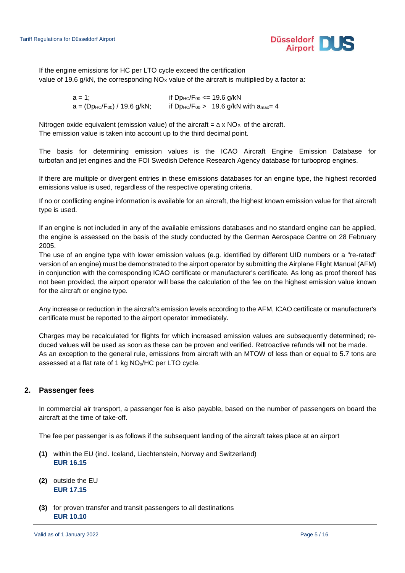

If the engine emissions for HC per LTO cycle exceed the certification value of 19.6  $g/kN$ , the corresponding NO<sub>x</sub> value of the aircraft is multiplied by a factor a:

> $a = 1$ ; if Dp<sub>HC</sub>/F<sub>00</sub> <= 19.6 g/kN  $a = (Dp_{HC}/F_{00}) / 19.6$  g/kN; if  $Dp_{HC}/F_{00} > 19.6$  g/kN with  $a_{max} = 4$

Nitrogen oxide equivalent (emission value) of the aircraft =  $a \times NO \times o f$  the aircraft. The emission value is taken into account up to the third decimal point.

The basis for determining emission values is the ICAO Aircraft Engine Emission Database for turbofan and jet engines and the FOI Swedish Defence Research Agency database for turboprop engines.

If there are multiple or divergent entries in these emissions databases for an engine type, the highest recorded emissions value is used, regardless of the respective operating criteria.

If no or conflicting engine information is available for an aircraft, the highest known emission value for that aircraft type is used.

If an engine is not included in any of the available emissions databases and no standard engine can be applied, the engine is assessed on the basis of the study conducted by the German Aerospace Centre on 28 February 2005.

The use of an engine type with lower emission values (e.g. identified by different UID numbers or a "re-rated" version of an engine) must be demonstrated to the airport operator by submitting the Airplane Flight Manual (AFM) in conjunction with the corresponding ICAO certificate or manufacturer's certificate. As long as proof thereof has not been provided, the airport operator will base the calculation of the fee on the highest emission value known for the aircraft or engine type.

Any increase or reduction in the aircraft's emission levels according to the AFM, ICAO certificate or manufacturer's certificate must be reported to the airport operator immediately.

Charges may be recalculated for flights for which increased emission values are subsequently determined; reduced values will be used as soon as these can be proven and verified. Retroactive refunds will not be made. As an exception to the general rule, emissions from aircraft with an MTOW of less than or equal to 5.7 tons are assessed at a flat rate of 1 kg NOx/HC per LTO cycle.

# <span id="page-4-0"></span>**2. Passenger fees**

In commercial air transport, a passenger fee is also payable, based on the number of passengers on board the aircraft at the time of take-off.

The fee per passenger is as follows if the subsequent landing of the aircraft takes place at an airport

- **(1)** within the EU (incl. Iceland, Liechtenstein, Norway and Switzerland) **EUR 16.15**
- **(2)** outside the EU **EUR 17.15**
- **(3)** for proven transfer and transit passengers to all destinations **EUR 10.10**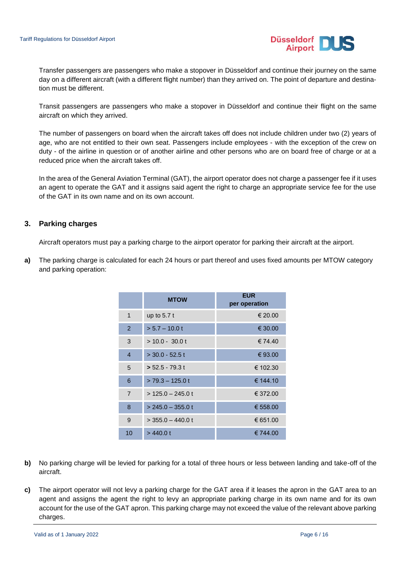

Transfer passengers are passengers who make a stopover in Düsseldorf and continue their journey on the same day on a different aircraft (with a different flight number) than they arrived on. The point of departure and destination must be different.

Transit passengers are passengers who make a stopover in Düsseldorf and continue their flight on the same aircraft on which they arrived.

The number of passengers on board when the aircraft takes off does not include children under two (2) years of age, who are not entitled to their own seat. Passengers include employees - with the exception of the crew on duty - of the airline in question or of another airline and other persons who are on board free of charge or at a reduced price when the aircraft takes off.

In the area of the General Aviation Terminal (GAT), the airport operator does not charge a passenger fee if it uses an agent to operate the GAT and it assigns said agent the right to charge an appropriate service fee for the use of the GAT in its own name and on its own account.

## <span id="page-5-0"></span>**3. Parking charges**

Aircraft operators must pay a parking charge to the airport operator for parking their aircraft at the airport.

**a)** The parking charge is calculated for each 24 hours or part thereof and uses fixed amounts per MTOW category and parking operation:

|                | <b>MTOW</b>           | <b>EUR</b><br>per operation |
|----------------|-----------------------|-----------------------------|
| 1              | up to $5.7t$          | € 20.00                     |
| 2              | $> 5.7 - 10.0 t$      | € 30.00                     |
| 3              | $> 10.0 - 30.0$ t     | € 74.40                     |
| $\overline{4}$ | $>$ 30.0 - 52.5 t     | € 93.00                     |
| 5              | $> 52.5 - 79.3$ t     | € 102.30                    |
| 6              | $> 79.3 - 125.0$ t    | € 144.10                    |
| $\overline{7}$ | $>$ 125.0 - 245.0 t   | € 372.00                    |
| 8              | $> 245.0 - 355.0$ t   | € 558.00                    |
| 9              | $>$ 355.0 $-$ 440.0 t | € 651.00                    |
| 10             | $>$ 440.0 t           | € 744.00                    |

- **b)** No parking charge will be levied for parking for a total of three hours or less between landing and take-off of the aircraft.
- **c)** The airport operator will not levy a parking charge for the GAT area if it leases the apron in the GAT area to an agent and assigns the agent the right to levy an appropriate parking charge in its own name and for its own account for the use of the GAT apron. This parking charge may not exceed the value of the relevant above parking charges.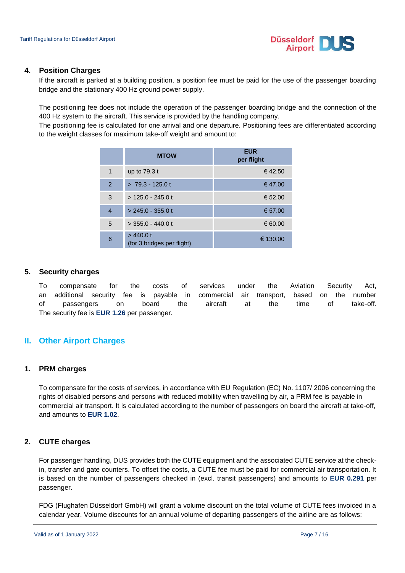

#### <span id="page-6-0"></span>**4. Position Charges**

If the aircraft is parked at a building position, a position fee must be paid for the use of the passenger boarding bridge and the stationary 400 Hz ground power supply.

The positioning fee does not include the operation of the passenger boarding bridge and the connection of the 400 Hz system to the aircraft. This service is provided by the handling company.

The positioning fee is calculated for one arrival and one departure. Positioning fees are differentiated according to the weight classes for maximum take-off weight and amount to:

|                | <b>MTOW</b>                             | <b>EUR</b><br>per flight |
|----------------|-----------------------------------------|--------------------------|
| 1              | up to $79.3t$                           | €42.50                   |
| $\overline{2}$ | $> 79.3 - 125.0 t$                      | €47.00                   |
| 3              | $>$ 125.0 - 245.0 t                     | € 52.00                  |
| 4              | $> 245.0 - 355.0$ t                     | € 57.00                  |
| 5              | $>$ 355.0 - 440.0 t                     | € 60.00                  |
| 6              | > 440.0 t<br>(for 3 bridges per flight) | € 130.00                 |

### <span id="page-6-1"></span>**5. Security charges**

To compensate for the costs of services under the Aviation Security Act, an additional security fee is payable in commercial air transport, based on the number of passengers on board the aircraft at the time of take-off. The security fee is **EUR 1.26** per passenger.

# **II. Other Airport Charges**

### <span id="page-6-2"></span>**1. PRM charges**

To compensate for the costs of services, in accordance with EU Regulation (EC) No. 1107/ 2006 concerning the rights of disabled persons and persons with reduced mobility when travelling by air, a PRM fee is payable in commercial air transport. It is calculated according to the number of passengers on board the aircraft at take-off, and amounts to **EUR 1.02**.

### <span id="page-6-3"></span>**2. CUTE charges**

For passenger handling, DUS provides both the CUTE equipment and the associated CUTE service at the checkin, transfer and gate counters. To offset the costs, a CUTE fee must be paid for commercial air transportation. It is based on the number of passengers checked in (excl. transit passengers) and amounts to **EUR 0.291** per passenger.

FDG (Flughafen Düsseldorf GmbH) will grant a volume discount on the total volume of CUTE fees invoiced in a calendar year. Volume discounts for an annual volume of departing passengers of the airline are as follows: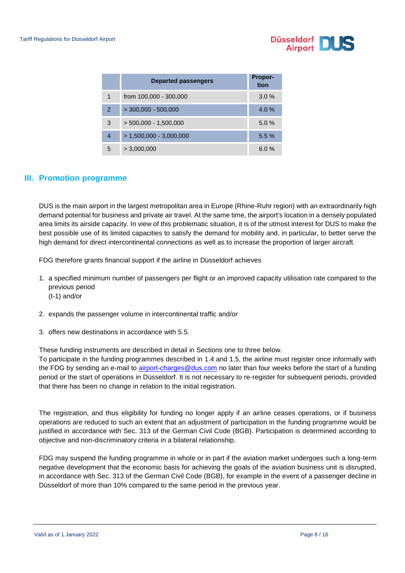

|               | <b>Departed passengers</b> | <b>Propor-</b><br>tion |
|---------------|----------------------------|------------------------|
| 1             | from 100,000 - 300,000     | 3.0%                   |
| $\mathcal{P}$ | $>$ 300,000 - 500,000      | 4.0%                   |
| 3             | $>$ 500,000 - 1,500,000    | $5.0\%$                |
| 4             | $> 1,500,000 - 3,000,000$  | 5.5%                   |
| 5             | > 3,000,000                | $6.0 \%$               |

# <span id="page-7-0"></span>**III. Promotion programme**

DUS is the main airport in the largest metropolitan area in Europe (Rhine-Ruhr region) with an extraordinarily high demand potential for business and private air travel. At the same time, the airport's location in a densely populated area limits its airside capacity. In view of this problematic situation, it is of the utmost interest for DUS to make the best possible use of its limited capacities to satisfy the demand for mobility and, in particular, to better serve the high demand for direct intercontinental connections as well as to increase the proportion of larger aircraft.

FDG therefore grants financial support if the airline in Düsseldorf achieves

- 1. a specified minimum number of passengers per flight or an improved capacity utilisation rate compared to the previous period (t-1) and/or
- 2. expands the passenger volume in intercontinental traffic and/or
- 3. offers new destinations in accordance with 5.5.

These funding instruments are described in detail in Sections one to three below.

To participate in the funding programmes described in 1.4 and 1.5, the airline must register once informally with the FDG by sending an e-mail to [airport-charges@dus.com](mailto:airport-charges@dus.com) no later than four weeks before the start of a funding period or the start of operations in Düsseldorf. It is not necessary to re-register for subsequent periods, provided that there has been no change in relation to the initial registration.

The registration, and thus eligibility for funding no longer apply if an airline ceases operations, or if business operations are reduced to such an extent that an adjustment of participation in the funding programme would be justified in accordance with Sec. 313 of the German Civil Code (BGB). Participation is determined according to objective and non-discriminatory criteria in a bilateral relationship.

FDG may suspend the funding programme in whole or in part if the aviation market undergoes such a long-term negative development that the economic basis for achieving the goals of the aviation business unit is disrupted, in accordance with Sec. 313 of the German Civil Code (BGB), for example in the event of a passenger decline in Düsseldorf of more than 10% compared to the same period in the previous year.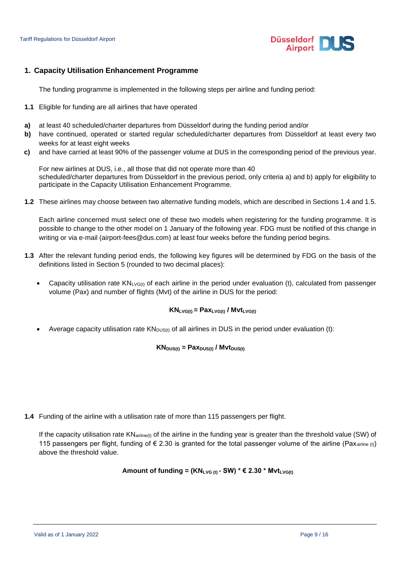

## **1. Capacity Utilisation Enhancement Programme**

The funding programme is implemented in the following steps per airline and funding period:

- **1.1** Eligible for funding are all airlines that have operated
- **a)** at least 40 scheduled/charter departures from Düsseldorf during the funding period and/or
- **b)** have continued, operated or started regular scheduled/charter departures from Düsseldorf at least every two weeks for at least eight weeks
- **c)** and have carried at least 90% of the passenger volume at DUS in the corresponding period of the previous year.

For new airlines at DUS, i.e., all those that did not operate more than 40 scheduled/charter departures from Düsseldorf in the previous period, only criteria a) and b) apply for eligibility to participate in the Capacity Utilisation Enhancement Programme.

**1.2** These airlines may choose between two alternative funding models, which are described in Sections 1.4 and 1.5.

Each airline concerned must select one of these two models when registering for the funding programme. It is possible to change to the other model on 1 January of the following year. FDG must be notified of this change in writing or via e-mail [\(airport-fees@dus.com\)](mailto:airport-charges@dus.com) at least four weeks before the funding period begins.

- **1.3** After the relevant funding period ends, the following key figures will be determined by FDG on the basis of the definitions listed in Section 5 (rounded to two decimal places):
	- Capacity utilisation rate  $KN_{LVG(t)}$  of each airline in the period under evaluation (t), calculated from passenger volume (Pax) and number of flights (Mvt) of the airline in DUS for the period:

## $KN_{LVG(t)} = \text{Pax}_{LVG(t)}$  /  $Mvt_{LVG(t)}$

Average capacity utilisation rate  $KN_{\text{DUS}(t)}$  of all airlines in DUS in the period under evaluation (t):

#### $KN_{DUS(t)} = \text{Pax}_{DUS(t)} / Mvt_{DUS(t)}$

**1.4** Funding of the airline with a utilisation rate of more than 115 passengers per flight.

If the capacity utilisation rate KN<sub>airline(t)</sub> of the airline in the funding year is greater than the threshold value (SW) of 115 passengers per flight, funding of € 2.30 is granted for the total passenger volume of the airline (Pax<sub>airline (t)</sub>) above the threshold value.

### Amount of funding =  $(KN_{LVG(t)} - SW) * \epsilon$  2.30 \*  $Mvt_{LVG(t)}$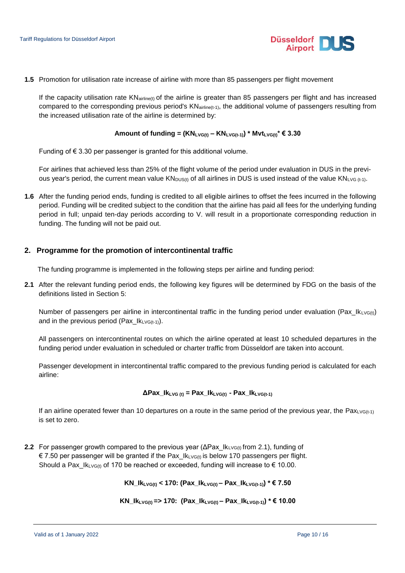

**1.5** Promotion for utilisation rate increase of airline with more than 85 passengers per flight movement

If the capacity utilisation rate  $KN_{\text{airline}(t)}$  of the airline is greater than 85 passengers per flight and has increased compared to the corresponding previous period's KN<sub>airline(t-1)</sub>, the additional volume of passengers resulting from the increased utilisation rate of the airline is determined by:

#### Amount of funding =  $(KN_{LVG(t)} - KN_{LVG(t-1)})$  \*  $Mvt_{LVG(t)}$  \* € 3.30

Funding of  $\epsilon$  3.30 per passenger is granted for this additional volume.

For airlines that achieved less than 25% of the flight volume of the period under evaluation in DUS in the previous year's period, the current mean value  $KN_{DUS(t)}$  of all airlines in DUS is used instead of the value KNLVG (t-1).

**1.6** After the funding period ends, funding is credited to all eligible airlines to offset the fees incurred in the following period. Funding will be credited subject to the condition that the airline has paid all fees for the underlying funding period in full; unpaid ten-day periods according to V. will result in a proportionate corresponding reduction in funding. The funding will not be paid out.

#### <span id="page-9-0"></span>**2. Programme for the promotion of intercontinental traffic**

The funding programme is implemented in the following steps per airline and funding period:

**2.1** After the relevant funding period ends, the following key figures will be determined by FDG on the basis of the definitions listed in Section 5:

Number of passengers per airline in intercontinental traffic in the funding period under evaluation (Pax\_IkLvG(t)) and in the previous period (Pax\_Ik<sub>LVG(t-1)</sub>).

All passengers on intercontinental routes on which the airline operated at least 10 scheduled departures in the funding period under evaluation in scheduled or charter traffic from Düsseldorf are taken into account.

Passenger development in intercontinental traffic compared to the previous funding period is calculated for each airline:

#### $\Delta$ Pax\_Ik<sub>LVG(t)</sub> = Pax\_Ik<sub>LVG(t)</sub> - Pax\_Ik<sub>LVG(t-1)</sub>

If an airline operated fewer than 10 departures on a route in the same period of the previous year, the  $Pax<sub>LVG(t-1)</sub>$ is set to zero.

**2.2** For passenger growth compared to the previous year (ΔPax\_IkLvG(t) from 2.1), funding of € 7.50 per passenger will be granted if the Pax\_IkLv<sub>G(t)</sub> is below 170 passengers per flight. Should a Pax\_IkLvG(t) of 170 be reached or exceeded, funding will increase to  $\epsilon$  10.00.

**KN\_IkLVG(t) < 170: (Pax\_IkLVG(t) – Pax\_IkLVG(t-1)) \* € 7.50**

#### **KN\_IkLVG(t) => 170: (Pax\_IkLVG(t) – Pax\_IkLVG(t-1)) \* € 10.00**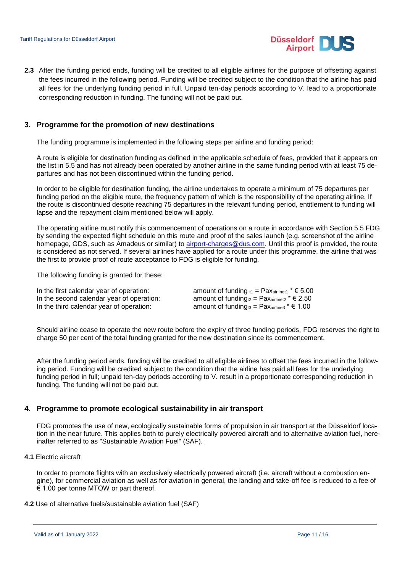

**2.3** After the funding period ends, funding will be credited to all eligible airlines for the purpose of offsetting against the fees incurred in the following period. Funding will be credited subject to the condition that the airline has paid all fees for the underlying funding period in full. Unpaid ten-day periods according to V. lead to a proportionate corresponding reduction in funding. The funding will not be paid out.

## <span id="page-10-0"></span>**3. Programme for the promotion of new destinations**

The funding programme is implemented in the following steps per airline and funding period:

A route is eligible for destination funding as defined in the applicable schedule of fees, provided that it appears on the list in 5.5 and has not already been operated by another airline in the same funding period with at least 75 departures and has not been discontinued within the funding period.

In order to be eligible for destination funding, the airline undertakes to operate a minimum of 75 departures per funding period on the eligible route, the frequency pattern of which is the responsibility of the operating airline. If the route is discontinued despite reaching 75 departures in the relevant funding period, entitlement to funding will lapse and the repayment claim mentioned below will apply.

The operating airline must notify this commencement of operations on a route in accordance with Section 5.5 FDG by sending the expected flight schedule on this route and proof of the sales launch (e.g. screenshot of the airline homepage, GDS, such as Amadeus or similar) to airport-charges@dus.com. Until this proof is provided, the route is considered as not served. If several airlines have applied for a route under this programme, the airline that was the first to provide proof of route acceptance to FDG is eligible for funding.

The following funding is granted for these:

| In the first calendar year of operation:  | amount of funding $t_1$ = Paxairlinet1 * $\epsilon$ 5.00                       |
|-------------------------------------------|--------------------------------------------------------------------------------|
| In the second calendar year of operation: | amount of funding <sub>t2</sub> = Pax <sub>airlinet2</sub> $* \in 2.50$        |
| In the third calendar year of operation:  | amount of funding <sub>t3</sub> = $Pax_{airline3} * \text{\textsterling} 1.00$ |

Should airline cease to operate the new route before the expiry of three funding periods, FDG reserves the right to charge 50 per cent of the total funding granted for the new destination since its commencement.

After the funding period ends, funding will be credited to all eligible airlines to offset the fees incurred in the following period. Funding will be credited subject to the condition that the airline has paid all fees for the underlying funding period in full; unpaid ten-day periods according to V. result in a proportionate corresponding reduction in funding. The funding will not be paid out.

### <span id="page-10-1"></span>**4. Programme to promote ecological sustainability in air transport**

FDG promotes the use of new, ecologically sustainable forms of propulsion in air transport at the Düsseldorf location in the near future. This applies both to purely electrically powered aircraft and to alternative aviation fuel, hereinafter referred to as "Sustainable Aviation Fuel" (SAF).

#### **4.1** Electric aircraft

In order to promote flights with an exclusively electrically powered aircraft (i.e. aircraft without a combustion engine), for commercial aviation as well as for aviation in general, the landing and take-off fee is reduced to a fee of € 1.00 per tonne MTOW or part thereof.

#### **4.2** Use of alternative fuels/sustainable aviation fuel (SAF)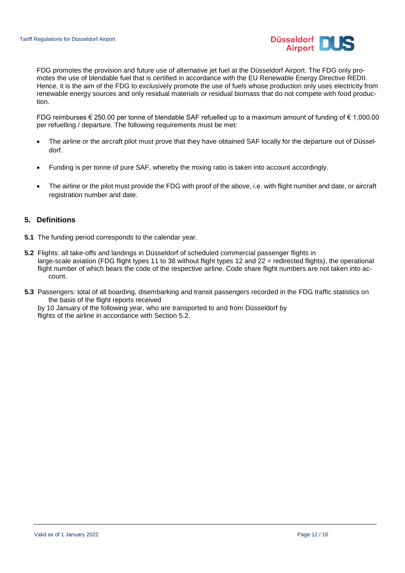

FDG promotes the provision and future use of alternative jet fuel at the Düsseldorf Airport. The FDG only promotes the use of blendable fuel that is certified in accordance with the EU Renewable Energy Directive REDII. Hence, it is the aim of the FDG to exclusively promote the use of fuels whose production only uses electricity from renewable energy sources and only residual materials or residual biomass that do not compete with food production.

FDG reimburses € 250.00 per tonne of blendable SAF refuelled up to a maximum amount of funding of € 1,000.00 per refuelling / departure. The following requirements must be met:

- The airline or the aircraft pilot must prove that they have obtained SAF locally for the departure out of Düsseldorf.
- Funding is per tonne of pure SAF, whereby the mixing ratio is taken into account accordingly.
- The airline or the pilot must provide the FDG with proof of the above, i.e. with flight number and date, or aircraft registration number and date.

## <span id="page-11-0"></span>**5. Definitions**

- **5.1** The funding period corresponds to the calendar year.
- **5.2** Flights: all take-offs and landings in Düsseldorf of scheduled commercial passenger flights in large-scale aviation (FDG flight types 11 to 38 without flight types 12 and 22 = redirected flights), the operational flight number of which bears the code of the respective airline. Code share flight numbers are not taken into account.
- **5.3** Passengers: total of all boarding, disembarking and transit passengers recorded in the FDG traffic statistics on the basis of the flight reports received

 by 10 January of the following year, who are transported to and from Düsseldorf by flights of the airline in accordance with Section 5.2.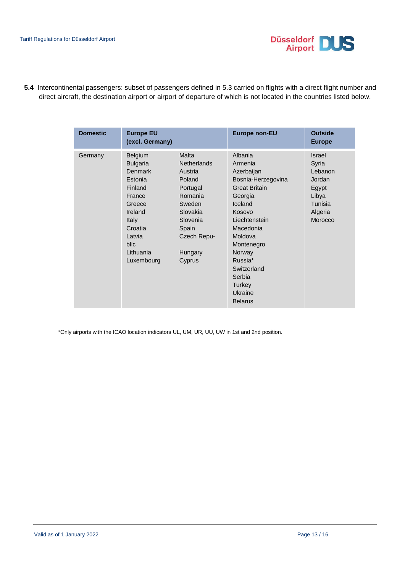

 **5.4** Intercontinental passengers: subset of passengers defined in 5.3 carried on flights with a direct flight number and direct aircraft, the destination airport or airport of departure of which is not located in the countries listed below.

| <b>Domestic</b> | <b>Europe EU</b><br>(excl. Germany)                                                                                                                                       |                                                                                                                                                        | <b>Europe non-EU</b>                                                                                                                                                                                                                                       | <b>Outside</b><br><b>Europe</b>                                                                |
|-----------------|---------------------------------------------------------------------------------------------------------------------------------------------------------------------------|--------------------------------------------------------------------------------------------------------------------------------------------------------|------------------------------------------------------------------------------------------------------------------------------------------------------------------------------------------------------------------------------------------------------------|------------------------------------------------------------------------------------------------|
| Germany         | Belgium<br><b>Bulgaria</b><br><b>Denmark</b><br>Estonia<br>Finland<br>France<br>Greece<br>Ireland<br><b>Italy</b><br>Croatia<br>Latvia<br>blic<br>Lithuania<br>Luxembourg | Malta<br><b>Netherlands</b><br>Austria<br>Poland<br>Portugal<br>Romania<br>Sweden<br>Slovakia<br>Slovenia<br>Spain<br>Czech Repu-<br>Hungary<br>Cyprus | Albania<br>Armenia<br>Azerbaijan<br>Bosnia-Herzegovina<br><b>Great Britain</b><br>Georgia<br>Iceland<br>Kosovo<br>Liechtenstein<br>Macedonia<br>Moldova<br>Montenegro<br>Norway<br>Russia*<br>Switzerland<br>Serbia<br>Turkey<br>Ukraine<br><b>Belarus</b> | <b>Israel</b><br>Syria<br>Lebanon<br>Jordan<br>Egypt<br>Libya<br>Tunisia<br>Algeria<br>Morocco |

\*Only airports with the ICAO location indicators UL, UM, UR, UU, UW in 1st and 2nd position.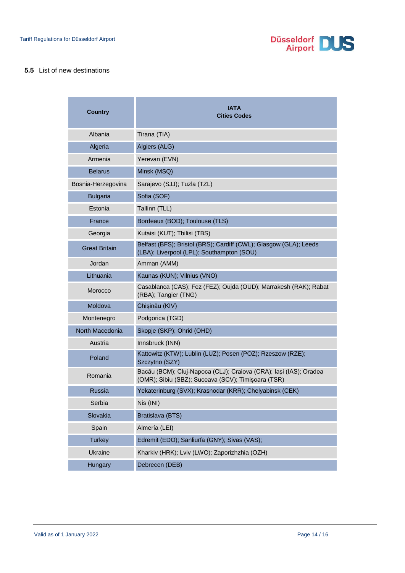

## **5.5** List of new destinations

| <b>Country</b>       | <b>IATA</b><br><b>Cities Codes</b>                                                                                      |
|----------------------|-------------------------------------------------------------------------------------------------------------------------|
| Albania              | Tirana (TIA)                                                                                                            |
| Algeria              | Algiers (ALG)                                                                                                           |
| Armenia              | Yerevan (EVN)                                                                                                           |
| <b>Belarus</b>       | Minsk (MSQ)                                                                                                             |
| Bosnia-Herzegovina   | Sarajevo (SJJ); Tuzla (TZL)                                                                                             |
| <b>Bulgaria</b>      | Sofia (SOF)                                                                                                             |
| Estonia              | Tallinn (TLL)                                                                                                           |
| France               | Bordeaux (BOD); Toulouse (TLS)                                                                                          |
| Georgia              | Kutaisi (KUT); Tbilisi (TBS)                                                                                            |
| <b>Great Britain</b> | Belfast (BFS); Bristol (BRS); Cardiff (CWL); Glasgow (GLA); Leeds<br>(LBA); Liverpool (LPL); Southampton (SOU)          |
| Jordan               | Amman (AMM)                                                                                                             |
| Lithuania            | Kaunas (KUN); Vilnius (VNO)                                                                                             |
| Morocco              | Casablanca (CAS); Fez (FEZ); Oujda (OUD); Marrakesh (RAK); Rabat<br>(RBA); Tangier (TNG)                                |
| Moldova              | Chișinău (KIV)                                                                                                          |
| Montenegro           | Podgorica (TGD)                                                                                                         |
| North Macedonia      | Skopje (SKP); Ohrid (OHD)                                                                                               |
| Austria              | Innsbruck (INN)                                                                                                         |
| Poland               | Kattowitz (KTW); Lublin (LUZ); Posen (POZ); Rzeszow (RZE);<br>Szczytno (SZY)                                            |
| Romania              | Bacău (BCM); Cluj-Napoca (CLJ); Craiova (CRA); Iași (IAS); Oradea<br>(OMR); Sibiu (SBZ); Suceava (SCV); Timișoara (TSR) |
| Russia               | Yekaterinburg (SVX); Krasnodar (KRR); Chelyabinsk (CEK)                                                                 |
| Serbia               | Nis (INI)                                                                                                               |
| Slovakia             | Bratislava (BTS)                                                                                                        |
| Spain                | Almería (LEI)                                                                                                           |
| <b>Turkey</b>        | Edremit (EDO); Sanliurfa (GNY); Sivas (VAS);                                                                            |
| Ukraine              | Kharkiv (HRK); Lviv (LWO); Zaporizhzhia (OZH)                                                                           |
| Hungary              | Debrecen (DEB)                                                                                                          |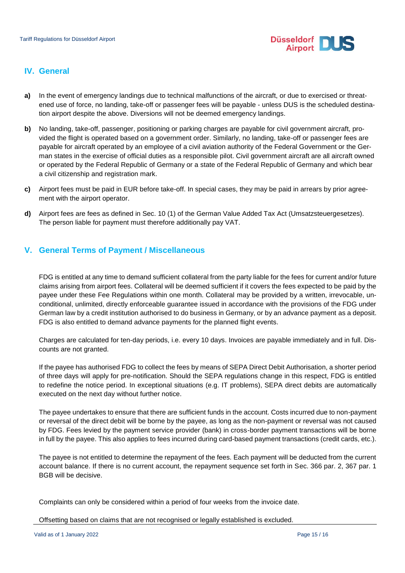

# <span id="page-14-0"></span>**IV. General**

- **a)** In the event of emergency landings due to technical malfunctions of the aircraft, or due to exercised or threatened use of force, no landing, take-off or passenger fees will be payable - unless DUS is the scheduled destination airport despite the above. Diversions will not be deemed emergency landings.
- **b)** No landing, take-off, passenger, positioning or parking charges are payable for civil government aircraft, provided the flight is operated based on a government order. Similarly, no landing, take-off or passenger fees are payable for aircraft operated by an employee of a civil aviation authority of the Federal Government or the German states in the exercise of official duties as a responsible pilot. Civil government aircraft are all aircraft owned or operated by the Federal Republic of Germany or a state of the Federal Republic of Germany and which bear a civil citizenship and registration mark.
- **c)** Airport fees must be paid in EUR before take-off. In special cases, they may be paid in arrears by prior agreement with the airport operator.
- **d)** Airport fees are fees as defined in Sec. 10 (1) of the German Value Added Tax Act (Umsatzsteuergesetzes). The person liable for payment must therefore additionally pay VAT.

# <span id="page-14-1"></span>**V. General Terms of Payment / Miscellaneous**

FDG is entitled at any time to demand sufficient collateral from the party liable for the fees for current and/or future claims arising from airport fees. Collateral will be deemed sufficient if it covers the fees expected to be paid by the payee under these Fee Regulations within one month. Collateral may be provided by a written, irrevocable, unconditional, unlimited, directly enforceable guarantee issued in accordance with the provisions of the FDG under German law by a credit institution authorised to do business in Germany, or by an advance payment as a deposit. FDG is also entitled to demand advance payments for the planned flight events.

Charges are calculated for ten-day periods, i.e. every 10 days. Invoices are payable immediately and in full. Discounts are not granted.

If the payee has authorised FDG to collect the fees by means of SEPA Direct Debit Authorisation, a shorter period of three days will apply for pre-notification. Should the SEPA regulations change in this respect, FDG is entitled to redefine the notice period. In exceptional situations (e.g. IT problems), SEPA direct debits are automatically executed on the next day without further notice.

The payee undertakes to ensure that there are sufficient funds in the account. Costs incurred due to non-payment or reversal of the direct debit will be borne by the payee, as long as the non-payment or reversal was not caused by FDG. Fees levied by the payment service provider (bank) in cross-border payment transactions will be borne in full by the payee. This also applies to fees incurred during card-based payment transactions (credit cards, etc.).

The payee is not entitled to determine the repayment of the fees. Each payment will be deducted from the current account balance. If there is no current account, the repayment sequence set forth in Sec. 366 par. 2, 367 par. 1 BGB will be decisive.

Complaints can only be considered within a period of four weeks from the invoice date.

Offsetting based on claims that are not recognised or legally established is excluded.